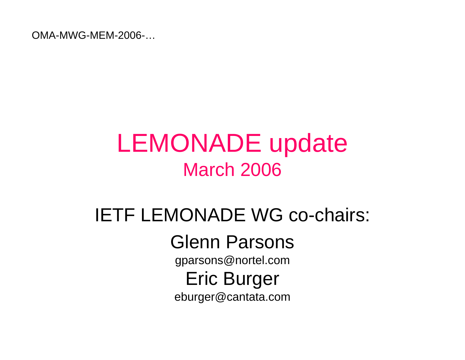OMA-MWG-MEM-2006-…

### LEMONADE update March 2006

# IETF LEMONADE WG co-chairs:

Glenn Parsons

gparsons@nortel.com

Eric Burger

eburger@cantata.com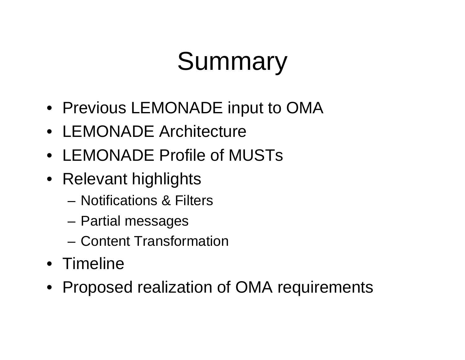# Summary

- Previous LEMONADE input to OMA
- LEMONADE Architecture
- LEMONADE Profile of MUSTs
- Relevant highlights
	- Notifications & Filters
	- **Links of the Company** Partial messages
	- Content Transformation
- Timeline
- Proposed realization of OMA requirements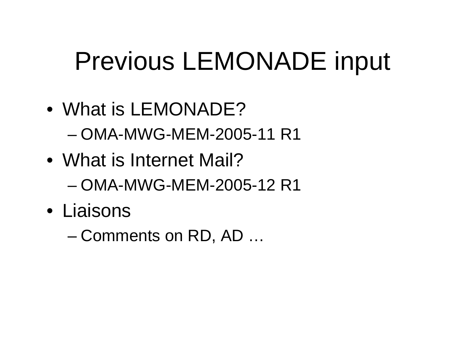# Previous LEMONADE input

• What is LEMONADE?

– OMA-MWG-MEM-2005-11 R1

- What is Internet Mail?– OMA-MWG-MEM-2005-12 R1
- Liaisons

and the state of the state Comments on RD, AD …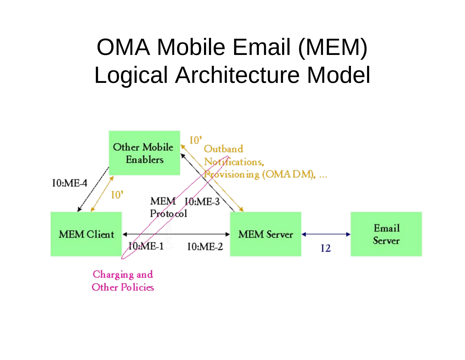### OMA Mobile Email (MEM) Logical Architecture Model



**Other Policies**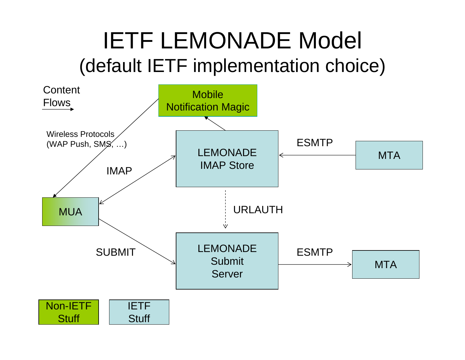### IETF LEMONADE Model (default IETF implementation choice)

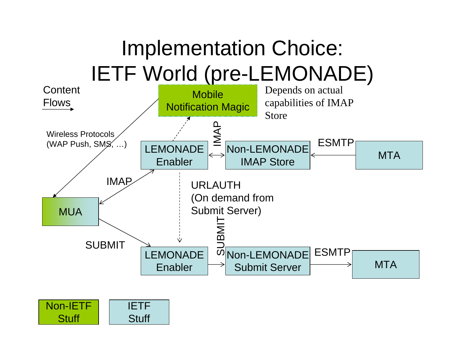

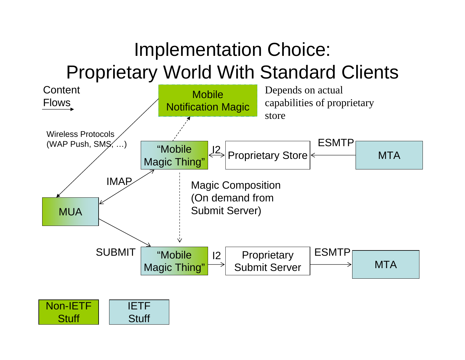#### Implementation Choice: Proprietary World With Standard Clients



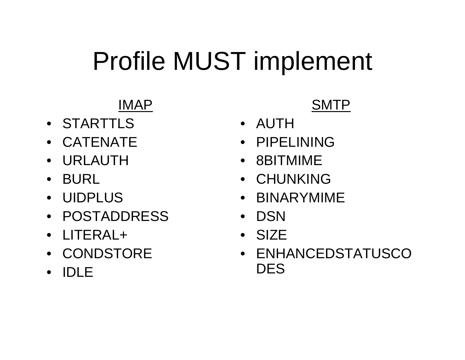# Profile MUST implement

#### IMAP

- STARTTLS
- CATENATE
- URLAUTH
- BURL
- UIDPLUS
- POSTADDRESS
- LITERAL+
- CONDSTORE
- •IDLE

#### SMTP

- AUTH
- PIPELINING
- 8BITMIME
- CHUNKING
- BINARYMIME
- $\bullet$ **DSN**
- SIZE
- ENHANCEDSTATUSCO**DES**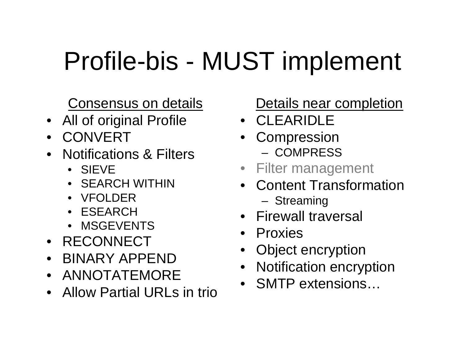# Profile-bis - MUST implement

Consensus on details

- All of original Profile
- •**CONVERT**
- Notifications & Filters
	- SIEVE
	- •SEARCH WITHIN
	- •VFOLDER
	- ESEARCH
	- •MSGEVENTS
- RECONNECT
- BINARY APPEND
- ANNOTATEMORE
- Allow Partial URLs in trio

#### Details near completion

- CLEARIDLE
- •**Compression** – COMPRESS
- Filter management
- Content TransformationStreaming
- Firewall traversal
- Proxies
- •Object encryption
- •Notification encryption
- SMTP extensions…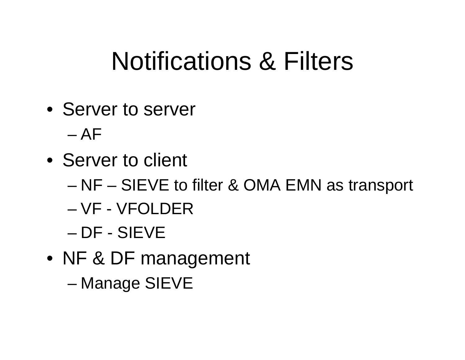## Notifications & Filters

- Server to server
	- AF
- Server to client
	- and the state of the state NF – SIEVE to filter & OMA EMN as transport
	- VF VFOLDER
	- DF SIEVE
- NF & DF management

–Manage SIEVE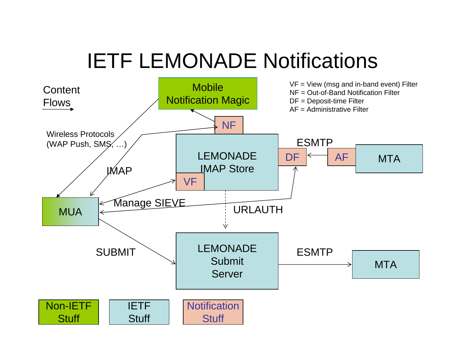### IETF LEMONADE Notifications

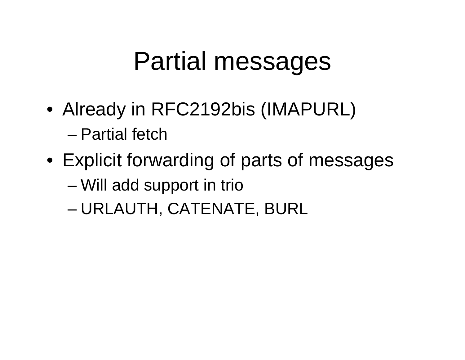## Partial messages

- Already in RFC2192bis (IMAPURL) – Partial fetch
- Explicit forwarding of parts of messages
	- and the state of the state Will add support in trio
	- –URLAUTH, CATENATE, BURL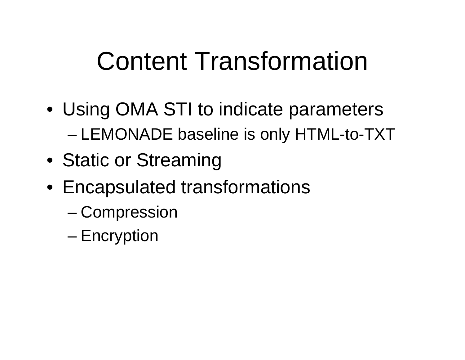# Content Transformation

- Using OMA STI to indicate parameters –LEMONADE baseline is only HTML-to-TXT
- Static or Streaming
- Encapsulated transformations
	- –**Compression**
	- and the state of the state Encryption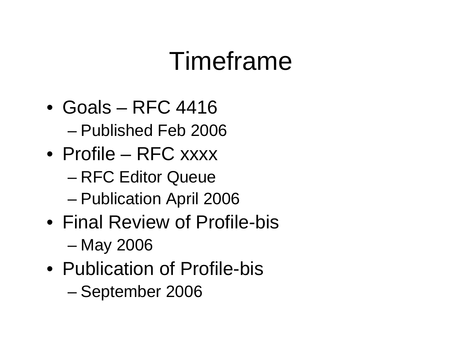## Timeframe

- Goals RFC 4416 – Published Feb 2006
- Profile RFC xxxx
	- and the state of the state RFC Editor Queue
	- –Publication April 2006
- Final Review of Profile-bis–May 2006
- Publication of Profile-bis–September 2006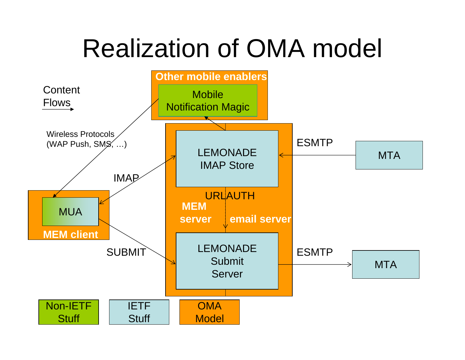## Realization of OMA model